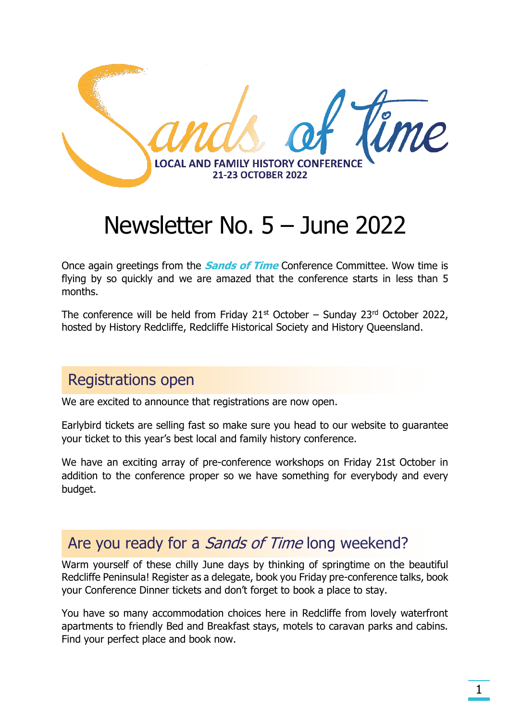

# Newsletter No. 5 – June 2022

Once again greetings from the **Sands of Time** Conference Committee. Wow time is flying by so quickly and we are amazed that the conference starts in less than 5 months.

The conference will be held from Friday  $21<sup>st</sup>$  October – Sunday  $23<sup>rd</sup>$  October 2022, hosted by History Redcliffe, Redcliffe Historical Society and History Queensland.

### Registrations open

We are excited to announce that registrations are now open.

Earlybird tickets are selling fast so make sure you head to our website to guarantee your ticket to this year's best local and family history conference.

We have an exciting array of pre-conference workshops on Friday 21st October in addition to the conference proper so we have something for everybody and every budget.

### Are you ready for a *Sands of Time* long weekend?

Warm yourself of these chilly June days by thinking of springtime on the beautiful Redcliffe Peninsula! Register as a delegate, book you Friday pre-conference talks, book your Conference Dinner tickets and don't forget to book a place to stay.

You have so many accommodation choices here in Redcliffe from lovely waterfront apartments to friendly Bed and Breakfast stays, motels to caravan parks and cabins. Find your perfect place and book now.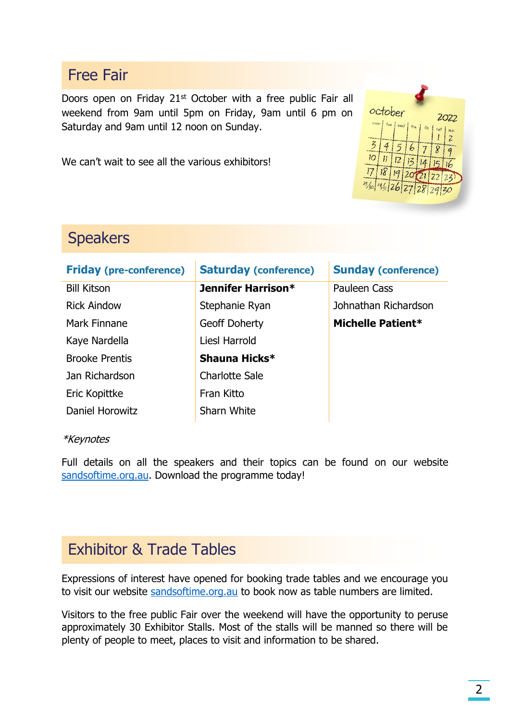### Free Fair

Doors open on Friday 21<sup>st</sup> October with a free public Fair all weekend from 9am until 5pm on Friday, 9am until 6 pm on Saturday and 9am until 12 noon on Sunday.

We can't wait to see all the various exhibitors!



# **Speakers**

| <b>Friday (pre-conference)</b> | <b>Saturday (conference)</b> | <b>Sunday (conference)</b> |
|--------------------------------|------------------------------|----------------------------|
| <b>Bill Kitson</b>             | <b>Jennifer Harrison*</b>    | Pauleen Cass               |
| <b>Rick Aindow</b>             | Stephanie Ryan               | Johnathan Richardson       |
| Mark Finnane                   | Geoff Doherty                | Michelle Patient*          |
| Kaye Nardella                  | Liesl Harrold                |                            |
| <b>Brooke Prentis</b>          | Shauna Hicks*                |                            |
| Jan Richardson                 | <b>Charlotte Sale</b>        |                            |
| Eric Kopittke                  | Fran Kitto                   |                            |
| Daniel Horowitz                | Sharn White                  |                            |

#### \*Keynotes

Full details on all the speakers and their topics can be found on our website [sandsoftime.org.au.](https://sandsoftime.org.au/) Download the programme today!

# Exhibitor & Trade Tables

Expressions of interest have opened for booking trade tables and we encourage you to visit our website [sandsoftime.org.au](https://sandsoftime.org.au/) to book now as table numbers are limited.

Visitors to the free public Fair over the weekend will have the opportunity to peruse approximately 30 Exhibitor Stalls. Most of the stalls will be manned so there will be plenty of people to meet, places to visit and information to be shared.